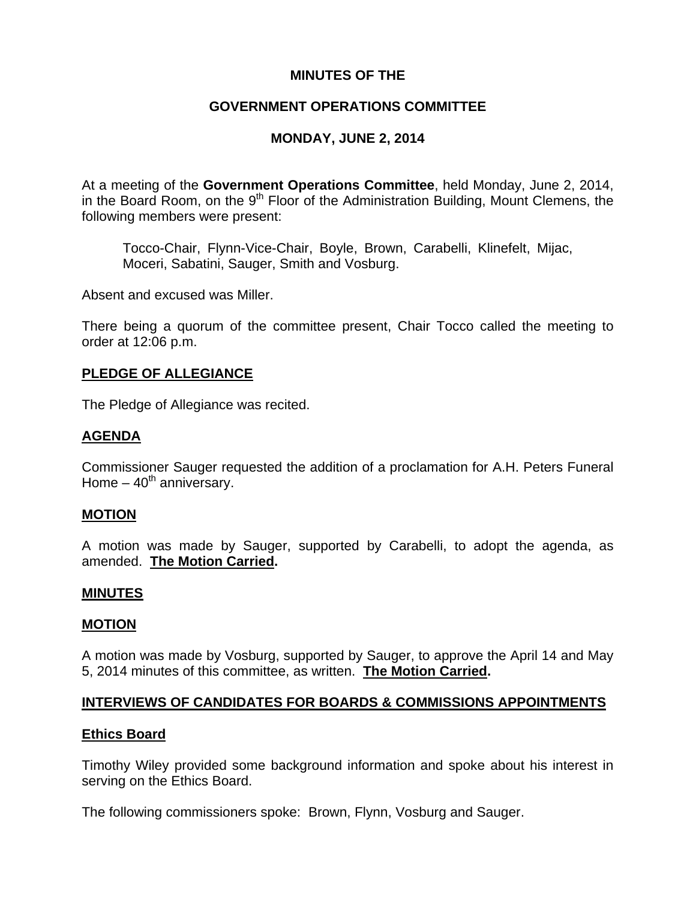## **MINUTES OF THE**

## **GOVERNMENT OPERATIONS COMMITTEE**

## **MONDAY, JUNE 2, 2014**

At a meeting of the **Government Operations Committee**, held Monday, June 2, 2014, in the Board Room, on the  $9<sup>th</sup>$  Floor of the Administration Building, Mount Clemens, the following members were present:

Tocco-Chair, Flynn-Vice-Chair, Boyle, Brown, Carabelli, Klinefelt, Mijac, Moceri, Sabatini, Sauger, Smith and Vosburg.

Absent and excused was Miller.

There being a quorum of the committee present, Chair Tocco called the meeting to order at 12:06 p.m.

## **PLEDGE OF ALLEGIANCE**

The Pledge of Allegiance was recited.

## **AGENDA**

Commissioner Sauger requested the addition of a proclamation for A.H. Peters Funeral Home  $-40^{th}$  anniversary.

### **MOTION**

A motion was made by Sauger, supported by Carabelli, to adopt the agenda, as amended. **The Motion Carried.** 

### **MINUTES**

### **MOTION**

A motion was made by Vosburg, supported by Sauger, to approve the April 14 and May 5, 2014 minutes of this committee, as written. **The Motion Carried.** 

### **INTERVIEWS OF CANDIDATES FOR BOARDS & COMMISSIONS APPOINTMENTS**

### **Ethics Board**

Timothy Wiley provided some background information and spoke about his interest in serving on the Ethics Board.

The following commissioners spoke: Brown, Flynn, Vosburg and Sauger.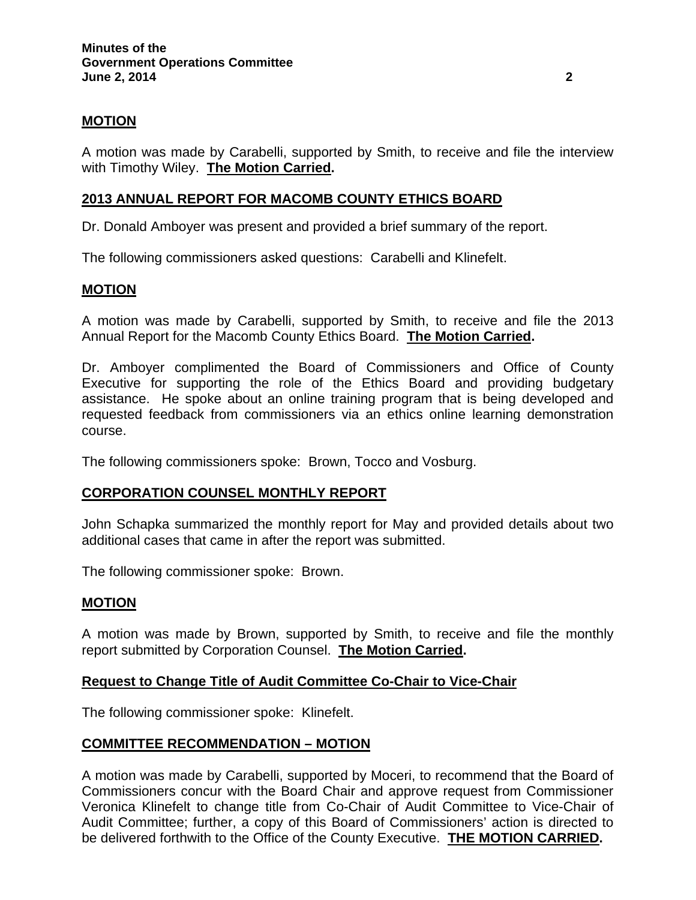## **MOTION**

A motion was made by Carabelli, supported by Smith, to receive and file the interview with Timothy Wiley. **The Motion Carried.** 

## **2013 ANNUAL REPORT FOR MACOMB COUNTY ETHICS BOARD**

Dr. Donald Amboyer was present and provided a brief summary of the report.

The following commissioners asked questions: Carabelli and Klinefelt.

### **MOTION**

A motion was made by Carabelli, supported by Smith, to receive and file the 2013 Annual Report for the Macomb County Ethics Board. **The Motion Carried.** 

Dr. Amboyer complimented the Board of Commissioners and Office of County Executive for supporting the role of the Ethics Board and providing budgetary assistance. He spoke about an online training program that is being developed and requested feedback from commissioners via an ethics online learning demonstration course.

The following commissioners spoke: Brown, Tocco and Vosburg.

### **CORPORATION COUNSEL MONTHLY REPORT**

John Schapka summarized the monthly report for May and provided details about two additional cases that came in after the report was submitted.

The following commissioner spoke: Brown.

#### **MOTION**

A motion was made by Brown, supported by Smith, to receive and file the monthly report submitted by Corporation Counsel. **The Motion Carried.** 

#### **Request to Change Title of Audit Committee Co-Chair to Vice-Chair**

The following commissioner spoke: Klinefelt.

### **COMMITTEE RECOMMENDATION – MOTION**

A motion was made by Carabelli, supported by Moceri, to recommend that the Board of Commissioners concur with the Board Chair and approve request from Commissioner Veronica Klinefelt to change title from Co-Chair of Audit Committee to Vice-Chair of Audit Committee; further, a copy of this Board of Commissioners' action is directed to be delivered forthwith to the Office of the County Executive. **THE MOTION CARRIED.**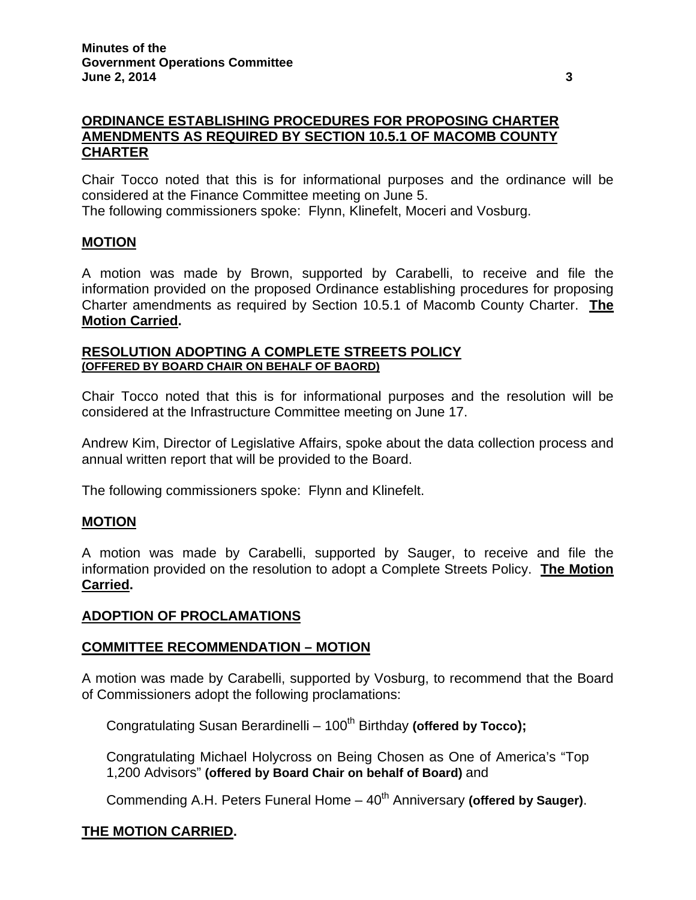## **ORDINANCE ESTABLISHING PROCEDURES FOR PROPOSING CHARTER AMENDMENTS AS REQUIRED BY SECTION 10.5.1 OF MACOMB COUNTY CHARTER**

Chair Tocco noted that this is for informational purposes and the ordinance will be considered at the Finance Committee meeting on June 5.

The following commissioners spoke: Flynn, Klinefelt, Moceri and Vosburg.

## **MOTION**

A motion was made by Brown, supported by Carabelli, to receive and file the information provided on the proposed Ordinance establishing procedures for proposing Charter amendments as required by Section 10.5.1 of Macomb County Charter. **The Motion Carried.** 

### **RESOLUTION ADOPTING A COMPLETE STREETS POLICY (OFFERED BY BOARD CHAIR ON BEHALF OF BAORD)**

Chair Tocco noted that this is for informational purposes and the resolution will be considered at the Infrastructure Committee meeting on June 17.

Andrew Kim, Director of Legislative Affairs, spoke about the data collection process and annual written report that will be provided to the Board.

The following commissioners spoke: Flynn and Klinefelt.

## **MOTION**

A motion was made by Carabelli, supported by Sauger, to receive and file the information provided on the resolution to adopt a Complete Streets Policy. **The Motion Carried.** 

## **ADOPTION OF PROCLAMATIONS**

## **COMMITTEE RECOMMENDATION – MOTION**

A motion was made by Carabelli, supported by Vosburg, to recommend that the Board of Commissioners adopt the following proclamations:

Congratulating Susan Berardinelli – 100<sup>th</sup> Birthday (offered by Tocco);

Congratulating Michael Holycross on Being Chosen as One of America's "Top 1,200 Advisors" **(offered by Board Chair on behalf of Board)** and

Commending A.H. Peters Funeral Home – 40<sup>th</sup> Anniversary **(offered by Sauger).** 

## **THE MOTION CARRIED.**